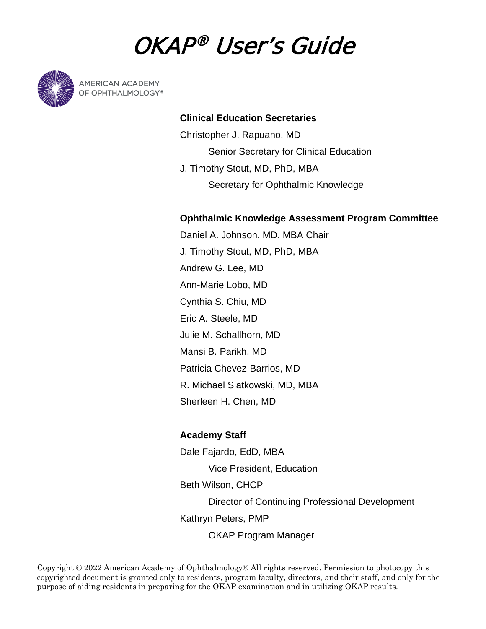# OKAP® User's Guide



**AMERICAN ACADEMY** OF OPHTHALMOLOGY®

# **Clinical Education Secretaries**

Christopher J. Rapuano, MD Senior Secretary for Clinical Education J. Timothy Stout, MD, PhD, MBA Secretary for Ophthalmic Knowledge

# **Ophthalmic Knowledge Assessment Program Committee**

Daniel A. Johnson, MD, MBA Chair J. Timothy Stout, MD, PhD, MBA Andrew G. Lee, MD Ann-Marie Lobo, MD Cynthia S. Chiu, MD Eric A. Steele, MD Julie M. Schallhorn, MD Mansi B. Parikh, MD Patricia Chevez-Barrios, MD R. Michael Siatkowski, MD, MBA Sherleen H. Chen, MD

## **Academy Staff**

Dale Fajardo, EdD, MBA Vice President, Education Beth Wilson, CHCP Director of Continuing Professional Development Kathryn Peters, PMP OKAP Program Manager

Copyright © 2022 American Academy of Ophthalmology® All rights reserved. Permission to photocopy this copyrighted document is granted only to residents, program faculty, directors, and their staff, and only for the purpose of aiding residents in preparing for the OKAP examination and in utilizing OKAP results.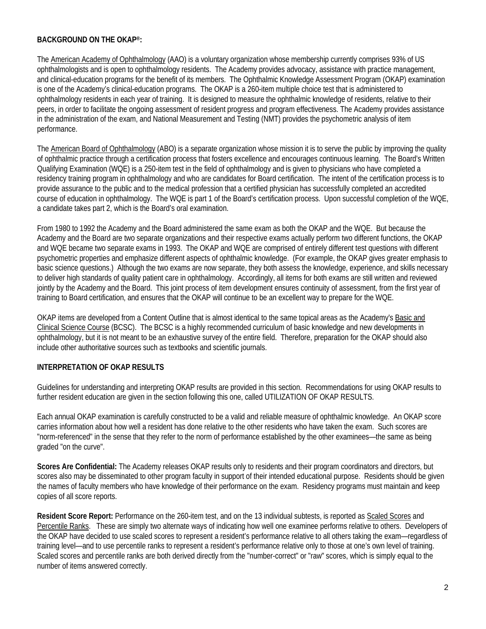#### **BACKGROUND ON THE OKAP®:**

The American Academy of Ophthalmology (AAO) is a voluntary organization whose membership currently comprises 93% of US ophthalmologists and is open to ophthalmology residents. The Academy provides advocacy, assistance with practice management, and clinical-education programs for the benefit of its members. The Ophthalmic Knowledge Assessment Program (OKAP) examination is one of the Academy's clinical-education programs. The OKAP is a 260-item multiple choice test that is administered to ophthalmology residents in each year of training. It is designed to measure the ophthalmic knowledge of residents, relative to their peers, in order to facilitate the ongoing assessment of resident progress and program effectiveness. The Academy provides assistance in the administration of the exam, and National Measurement and Testing (NMT) provides the psychometric analysis of item performance.

The American Board of Ophthalmology (ABO) is a separate organization whose mission it is to serve the public by improving the quality of ophthalmic practice through a certification process that fosters excellence and encourages continuous learning. The Board's Written Qualifying Examination (WQE) is a 250-item test in the field of ophthalmology and is given to physicians who have completed a residency training program in ophthalmology and who are candidates for Board certification. The intent of the certification process is to provide assurance to the public and to the medical profession that a certified physician has successfully completed an accredited course of education in ophthalmology. The WQE is part 1 of the Board's certification process. Upon successful completion of the WQE, a candidate takes part 2, which is the Board's oral examination.

From 1980 to 1992 the Academy and the Board administered the same exam as both the OKAP and the WQE. But because the Academy and the Board are two separate organizations and their respective exams actually perform two different functions, the OKAP and WQE became two separate exams in 1993. The OKAP and WQE are comprised of entirely different test questions with different psychometric properties and emphasize different aspects of ophthalmic knowledge. (For example, the OKAP gives greater emphasis to basic science questions.) Although the two exams are now separate, they both assess the knowledge, experience, and skills necessary to deliver high standards of quality patient care in ophthalmology. Accordingly, all items for both exams are still written and reviewed jointly by the Academy and the Board. This joint process of item development ensures continuity of assessment, from the first year of training to Board certification, and ensures that the OKAP will continue to be an excellent way to prepare for the WQE.

OKAP items are developed from a Content Outline that is almost identical to the same topical areas as the Academy's Basic and Clinical Science Course (BCSC). The BCSC is a highly recommended curriculum of basic knowledge and new developments in ophthalmology, but it is not meant to be an exhaustive survey of the entire field. Therefore, preparation for the OKAP should also include other authoritative sources such as textbooks and scientific journals.

#### **INTERPRETATION OF OKAP RESULTS**

Guidelines for understanding and interpreting OKAP results are provided in this section. Recommendations for using OKAP results to further resident education are given in the section following this one, called UTILIZATION OF OKAP RESULTS.

Each annual OKAP examination is carefully constructed to be a valid and reliable measure of ophthalmic knowledge. An OKAP score carries information about how well a resident has done relative to the other residents who have taken the exam. Such scores are "norm-referenced" in the sense that they refer to the norm of performance established by the other examinees—the same as being graded "on the curve".

**Scores Are Confidential:** The Academy releases OKAP results only to residents and their program coordinators and directors, but scores also may be disseminated to other program faculty in support of their intended educational purpose. Residents should be given the names of faculty members who have knowledge of their performance on the exam. Residency programs must maintain and keep copies of all score reports.

**Resident Score Report:** Performance on the 260-item test, and on the 13 individual subtests, is reported as Scaled Scores and Percentile Ranks. These are simply two alternate ways of indicating how well one examinee performs relative to others. Developers of the OKAP have decided to use scaled scores to represent a resident's performance relative to all others taking the exam—regardless of training level—and to use percentile ranks to represent a resident's performance relative only to those at one's own level of training. Scaled scores and percentile ranks are both derived directly from the "number-correct" or "raw" scores, which is simply equal to the number of items answered correctly.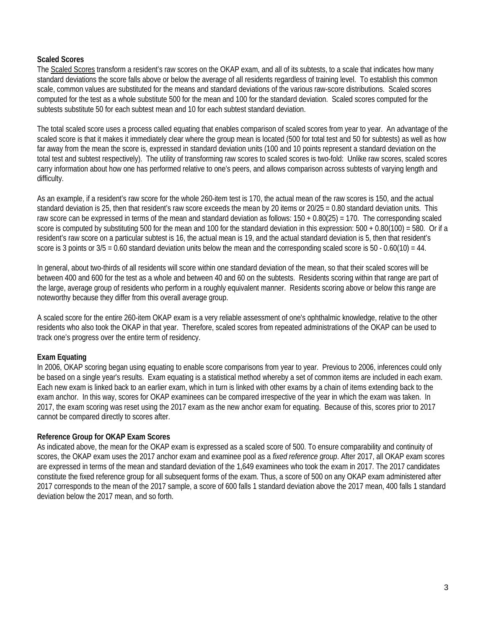#### **Scaled Scores**

The Scaled Scores transform a resident's raw scores on the OKAP exam, and all of its subtests, to a scale that indicates how many standard deviations the score falls above or below the average of all residents regardless of training level. To establish this common scale, common values are substituted for the means and standard deviations of the various raw-score distributions. Scaled scores computed for the test as a whole substitute 500 for the mean and 100 for the standard deviation. Scaled scores computed for the subtests substitute 50 for each subtest mean and 10 for each subtest standard deviation.

The total scaled score uses a process called equating that enables comparison of scaled scores from year to year. An advantage of the scaled score is that it makes it immediately clear where the group mean is located (500 for total test and 50 for subtests) as well as how far away from the mean the score is, expressed in standard deviation units (100 and 10 points represent a standard deviation on the total test and subtest respectively). The utility of transforming raw scores to scaled scores is two-fold: Unlike raw scores, scaled scores carry information about how one has performed relative to one's peers, and allows comparison across subtests of varying length and difficulty.

As an example, if a resident's raw score for the whole 260-item test is 170, the actual mean of the raw scores is 150, and the actual standard deviation is 25, then that resident's raw score exceeds the mean by 20 items or 20/25 = 0.80 standard deviation units. This raw score can be expressed in terms of the mean and standard deviation as follows: 150 + 0.80(25) = 170. The corresponding scaled score is computed by substituting 500 for the mean and 100 for the standard deviation in this expression:  $500 + 0.80(100) = 580$ . Or if a resident's raw score on a particular subtest is 16, the actual mean is 19, and the actual standard deviation is 5, then that resident's score is 3 points or  $3/5 = 0.60$  standard deviation units below the mean and the corresponding scaled score is  $50 - 0.60(10) = 44$ .

In general, about two-thirds of all residents will score within one standard deviation of the mean, so that their scaled scores will be between 400 and 600 for the test as a whole and between 40 and 60 on the subtests. Residents scoring within that range are part of the large, average group of residents who perform in a roughly equivalent manner. Residents scoring above or below this range are noteworthy because they differ from this overall average group.

A scaled score for the entire 260-item OKAP exam is a very reliable assessment of one's ophthalmic knowledge, relative to the other residents who also took the OKAP in that year. Therefore, scaled scores from repeated administrations of the OKAP can be used to track one's progress over the entire term of residency.

#### **Exam Equating**

In 2006, OKAP scoring began using equating to enable score comparisons from year to year. Previous to 2006, inferences could only be based on a single year's results. Exam equating is a statistical method whereby a set of common items are included in each exam. Each new exam is linked back to an earlier exam, which in turn is linked with other exams by a chain of items extending back to the exam anchor. In this way, scores for OKAP examinees can be compared irrespective of the year in which the exam was taken. In 2017, the exam scoring was reset using the 2017 exam as the new anchor exam for equating. Because of this, scores prior to 2017 cannot be compared directly to scores after.

#### **Reference Group for OKAP Exam Scores**

As indicated above, the mean for the OKAP exam is expressed as a scaled score of 500. To ensure comparability and continuity of scores, the OKAP exam uses the 2017 anchor exam and examinee pool as a *fixed reference group*. After 2017, all OKAP exam scores are expressed in terms of the mean and standard deviation of the 1,649 examinees who took the exam in 2017. The 2017 candidates constitute the fixed reference group for all subsequent forms of the exam. Thus, a score of 500 on any OKAP exam administered after 2017 corresponds to the mean of the 2017 sample, a score of 600 falls 1 standard deviation above the 2017 mean, 400 falls 1 standard deviation below the 2017 mean, and so forth.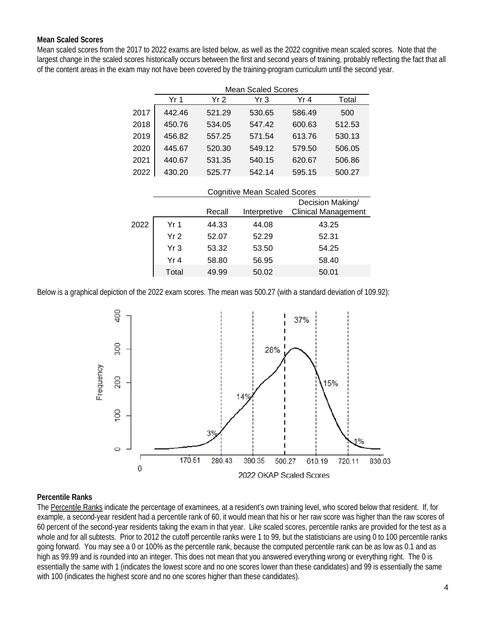#### **Mean Scaled Scores**

Mean scaled scores from the 2017 to 2022 exams are listed below, as well as the 2022 cognitive mean scaled scores. Note that the largest change in the scaled scores historically occurs between the first and second years of training, probably reflecting the fact that all of the content areas in the exam may not have been covered by the training-program curriculum until the second year.

|      | <b>Mean Scaled Scores</b> |        |        |        |        |  |  |  |  |
|------|---------------------------|--------|--------|--------|--------|--|--|--|--|
|      | Yr 1                      | Yr 2   | Yr 3   | Yr 4   | Total  |  |  |  |  |
| 2017 | 442.46                    | 521.29 | 530.65 | 586.49 | 500    |  |  |  |  |
| 2018 | 450.76                    | 534.05 | 547.42 | 600.63 | 512.53 |  |  |  |  |
| 2019 | 456.82                    | 557.25 | 571.54 | 613.76 | 530.13 |  |  |  |  |
| 2020 | 445.67                    | 520.30 | 549.12 | 579.50 | 506.05 |  |  |  |  |
| 2021 | 440.67                    | 531.35 | 540.15 | 620.67 | 506.86 |  |  |  |  |
| 2022 | 430.20                    | 525.77 | 542.14 | 595.15 | 500.27 |  |  |  |  |

|      |                 | <b>Cognitive Mean Scaled Scores</b> |              |                            |  |  |
|------|-----------------|-------------------------------------|--------------|----------------------------|--|--|
|      |                 |                                     |              | Decision Making/           |  |  |
|      |                 | Recall                              | Interpretive | <b>Clinical Management</b> |  |  |
| 2022 | Yr 1            | 44.33                               | 44.08        | 43.25                      |  |  |
|      | Yr <sub>2</sub> | 52.07                               | 52.29        | 52.31                      |  |  |
|      | Yr <sub>3</sub> | 53.32                               | 53.50        | 54.25                      |  |  |
|      | Yr 4            | 58.80                               | 56.95        | 58.40                      |  |  |
|      | Total           | 49.99                               | 50.02        | 50.01                      |  |  |

Below is a graphical depiction of the 2022 exam scores. The mean was 500.27 (with a standard deviation of 109.92):



#### **Percentile Ranks**

The Percentile Ranks indicate the percentage of examinees, at a resident's own training level, who scored below that resident. If, for example, a second-year resident had a percentile rank of 60, it would mean that his or her raw score was higher than the raw scores of 60 percent of the second-year residents taking the exam in that year. Like scaled scores, percentile ranks are provided for the test as a whole and for all subtests. Prior to 2012 the cutoff percentile ranks were 1 to 99, but the statisticians are using 0 to 100 percentile ranks going forward. You may see a 0 or 100% as the percentile rank, because the computed percentile rank can be as low as 0.1 and as high as 99.99 and is rounded into an integer. This does not mean that you answered everything wrong or everything right. The 0 is essentially the same with 1 (indicates the lowest score and no one scores lower than these candidates) and 99 is essentially the same with 100 (indicates the highest score and no one scores higher than these candidates).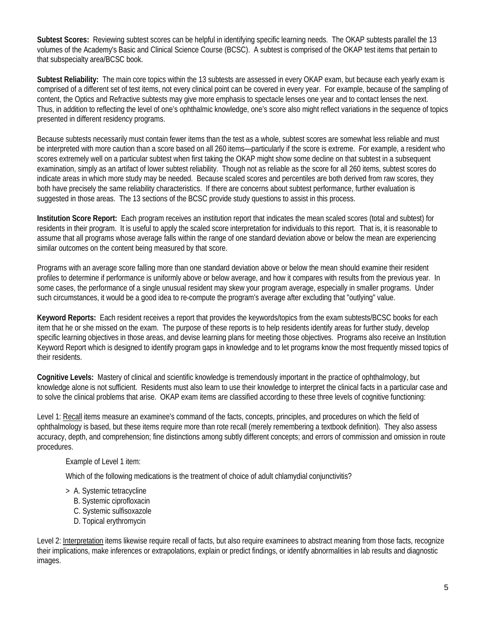**Subtest Scores:** Reviewing subtest scores can be helpful in identifying specific learning needs. The OKAP subtests parallel the 13 volumes of the Academy's Basic and Clinical Science Course (BCSC). A subtest is comprised of the OKAP test items that pertain to that subspecialty area/BCSC book.

**Subtest Reliability:** The main core topics within the 13 subtests are assessed in every OKAP exam, but because each yearly exam is comprised of a different set of test items, not every clinical point can be covered in every year. For example, because of the sampling of content, the Optics and Refractive subtests may give more emphasis to spectacle lenses one year and to contact lenses the next. Thus, in addition to reflecting the level of one's ophthalmic knowledge, one's score also might reflect variations in the sequence of topics presented in different residency programs.

Because subtests necessarily must contain fewer items than the test as a whole, subtest scores are somewhat less reliable and must be interpreted with more caution than a score based on all 260 items—particularly if the score is extreme. For example, a resident who scores extremely well on a particular subtest when first taking the OKAP might show some decline on that subtest in a subsequent examination, simply as an artifact of lower subtest reliability. Though not as reliable as the score for all 260 items, subtest scores do indicate areas in which more study may be needed. Because scaled scores and percentiles are both derived from raw scores, they both have precisely the same reliability characteristics. If there are concerns about subtest performance, further evaluation is suggested in those areas. The 13 sections of the BCSC provide study questions to assist in this process.

**Institution Score Report:** Each program receives an institution report that indicates the mean scaled scores (total and subtest) for residents in their program. It is useful to apply the scaled score interpretation for individuals to this report. That is, it is reasonable to assume that all programs whose average falls within the range of one standard deviation above or below the mean are experiencing similar outcomes on the content being measured by that score.

Programs with an average score falling more than one standard deviation above or below the mean should examine their resident profiles to determine if performance is uniformly above or below average, and how it compares with results from the previous year. In some cases, the performance of a single unusual resident may skew your program average, especially in smaller programs. Under such circumstances, it would be a good idea to re-compute the program's average after excluding that "outlying" value.

**Keyword Reports:** Each resident receives a report that provides the keywords/topics from the exam subtests/BCSC books for each item that he or she missed on the exam. The purpose of these reports is to help residents identify areas for further study, develop specific learning objectives in those areas, and devise learning plans for meeting those objectives. Programs also receive an Institution Keyword Report which is designed to identify program gaps in knowledge and to let programs know the most frequently missed topics of their residents.

**Cognitive Levels:** Mastery of clinical and scientific knowledge is tremendously important in the practice of ophthalmology, but knowledge alone is not sufficient. Residents must also learn to use their knowledge to interpret the clinical facts in a particular case and to solve the clinical problems that arise. OKAP exam items are classified according to these three levels of cognitive functioning:

Level 1: Recall items measure an examinee's command of the facts, concepts, principles, and procedures on which the field of ophthalmology is based, but these items require more than rote recall (merely remembering a textbook definition). They also assess accuracy, depth, and comprehension; fine distinctions among subtly different concepts; and errors of commission and omission in route procedures.

#### Example of Level 1 item:

Which of the following medications is the treatment of choice of adult chlamydial conjunctivitis?

- > A. Systemic tetracycline
	- B. Systemic ciprofloxacin
	- C. Systemic sulfisoxazole
	- D. Topical erythromycin

Level 2: Interpretation items likewise require recall of facts, but also require examinees to abstract meaning from those facts, recognize their implications, make inferences or extrapolations, explain or predict findings, or identify abnormalities in lab results and diagnostic images.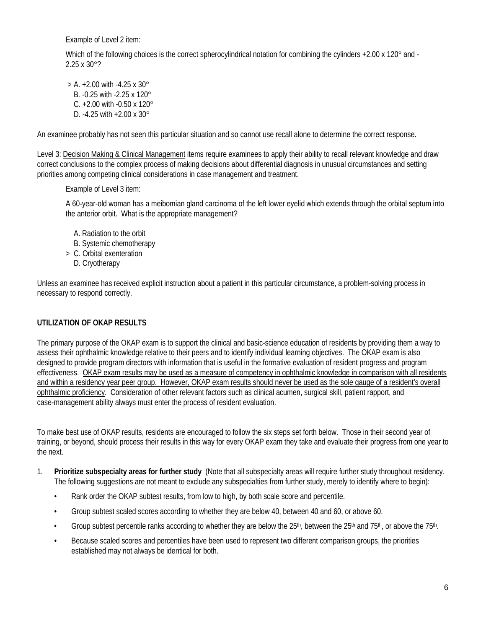Example of Level 2 item:

Which of the following choices is the correct spherocylindrical notation for combining the cylinders +2.00 x 120° and -2.25 x 30°?

 $>$  A. +2.00 with -4.25 x 30 $^{\circ}$ B. -0.25 with -2.25 x 120° C. +2.00 with -0.50 x 120° D. -4.25 with +2.00 x 30°

An examinee probably has not seen this particular situation and so cannot use recall alone to determine the correct response.

Level 3: Decision Making & Clinical Management items require examinees to apply their ability to recall relevant knowledge and draw correct conclusions to the complex process of making decisions about differential diagnosis in unusual circumstances and setting priorities among competing clinical considerations in case management and treatment.

Example of Level 3 item:

A 60-year-old woman has a meibomian gland carcinoma of the left lower eyelid which extends through the orbital septum into the anterior orbit. What is the appropriate management?

- A. Radiation to the orbit
- B. Systemic chemotherapy
- > C. Orbital exenteration
	- D. Cryotherapy

Unless an examinee has received explicit instruction about a patient in this particular circumstance, a problem-solving process in necessary to respond correctly.

## **UTILIZATION OF OKAP RESULTS**

The primary purpose of the OKAP exam is to support the clinical and basic-science education of residents by providing them a way to assess their ophthalmic knowledge relative to their peers and to identify individual learning objectives. The OKAP exam is also designed to provide program directors with information that is useful in the formative evaluation of resident progress and program effectiveness. OKAP exam results may be used as a measure of competency in ophthalmic knowledge in comparison with all residents and within a residency year peer group. However, OKAP exam results should never be used as the sole gauge of a resident's overall ophthalmic proficiency. Consideration of other relevant factors such as clinical acumen, surgical skill, patient rapport, and case-management ability always must enter the process of resident evaluation.

To make best use of OKAP results, residents are encouraged to follow the six steps set forth below. Those in their second year of training, or beyond, should process their results in this way for every OKAP exam they take and evaluate their progress from one year to the next.

- 1. **Prioritize subspecialty areas for further study** (Note that all subspecialty areas will require further study throughout residency. The following suggestions are not meant to exclude any subspecialties from further study, merely to identify where to begin):
	- Rank order the OKAP subtest results, from low to high, by both scale score and percentile.
	- Group subtest scaled scores according to whether they are below 40, between 40 and 60, or above 60.
	- Group subtest percentile ranks according to whether they are below the  $25<sup>th</sup>$ , between the  $25<sup>th</sup>$  and  $75<sup>th</sup>$ , or above the  $75<sup>th</sup>$ .
	- Because scaled scores and percentiles have been used to represent two different comparison groups, the priorities established may not always be identical for both.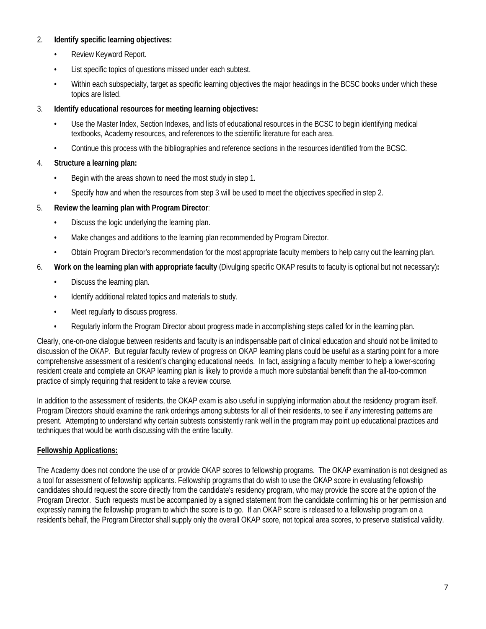## 2. **Identify specific learning objectives:**

- Review Keyword Report.
- List specific topics of questions missed under each subtest.
- Within each subspecialty, target as specific learning objectives the major headings in the BCSC books under which these topics are listed.

## 3. **Identify educational resources for meeting learning objectives:**

- Use the Master Index, Section Indexes, and lists of educational resources in the BCSC to begin identifying medical textbooks, Academy resources, and references to the scientific literature for each area.
- Continue this process with the bibliographies and reference sections in the resources identified from the BCSC.

## 4. **Structure a learning plan:**

- Begin with the areas shown to need the most study in step 1.
- Specify how and when the resources from step 3 will be used to meet the objectives specified in step 2.

## 5. **Review the learning plan with Program Director**:

- Discuss the logic underlying the learning plan.
- Make changes and additions to the learning plan recommended by Program Director.
- Obtain Program Director's recommendation for the most appropriate faculty members to help carry out the learning plan.
- 6. **Work on the learning plan with appropriate faculty** (Divulging specific OKAP results to faculty is optional but not necessary)**:**
	- Discuss the learning plan.
	- Identify additional related topics and materials to study.
	- Meet regularly to discuss progress.
	- Regularly inform the Program Director about progress made in accomplishing steps called for in the learning plan.

Clearly, one-on-one dialogue between residents and faculty is an indispensable part of clinical education and should not be limited to discussion of the OKAP. But regular faculty review of progress on OKAP learning plans could be useful as a starting point for a more comprehensive assessment of a resident's changing educational needs. In fact, assigning a faculty member to help a lower-scoring resident create and complete an OKAP learning plan is likely to provide a much more substantial benefit than the all-too-common practice of simply requiring that resident to take a review course.

In addition to the assessment of residents, the OKAP exam is also useful in supplying information about the residency program itself. Program Directors should examine the rank orderings among subtests for all of their residents, to see if any interesting patterns are present. Attempting to understand why certain subtests consistently rank well in the program may point up educational practices and techniques that would be worth discussing with the entire faculty.

## **Fellowship Applications:**

The Academy does not condone the use of or provide OKAP scores to fellowship programs. The OKAP examination is not designed as a tool for assessment of fellowship applicants. Fellowship programs that do wish to use the OKAP score in evaluating fellowship candidates should request the score directly from the candidate's residency program, who may provide the score at the option of the Program Director. Such requests must be accompanied by a signed statement from the candidate confirming his or her permission and expressly naming the fellowship program to which the score is to go. If an OKAP score is released to a fellowship program on a resident's behalf, the Program Director shall supply only the overall OKAP score, not topical area scores, to preserve statistical validity.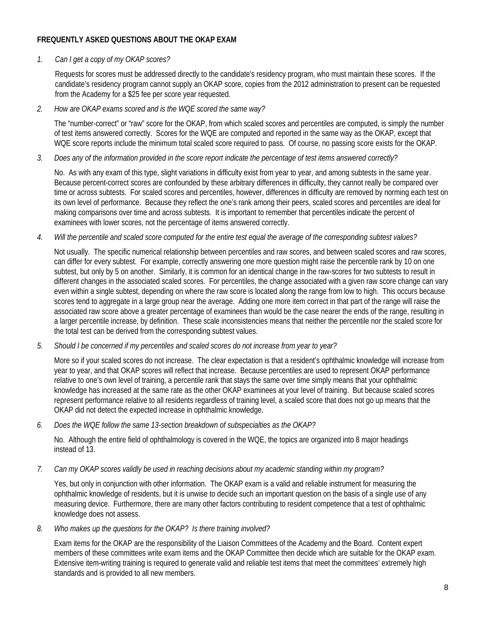## **FREQUENTLY ASKED QUESTIONS ABOUT THE OKAP EXAM**

#### *1. Can I get a copy of my OKAP scores?*

Requests for scores must be addressed directly to the candidate's residency program, who must maintain these scores. If the candidate's residency program cannot supply an OKAP score, copies from the 2012 administration to present can be requested from the Academy for a \$25 fee per score year requested.

*2. How are OKAP exams scored and is the WQE scored the same way?*

The "number-correct" or "raw" score for the OKAP, from which scaled scores and percentiles are computed, is simply the number of test items answered correctly. Scores for the WQE are computed and reported in the same way as the OKAP, except that WQE score reports include the minimum total scaled score required to pass. Of course, no passing score exists for the OKAP.

*3. Does any of the information provided in the score report indicate the percentage of test items answered correctly?*

No. As with any exam of this type, slight variations in difficulty exist from year to year, and among subtests in the same year. Because percent-correct scores are confounded by these arbitrary differences in difficulty, they cannot really be compared over time or across subtests. For scaled scores and percentiles, however, differences in difficulty are removed by norming each test on its own level of performance. Because they reflect the one's rank among their peers, scaled scores and percentiles are ideal for making comparisons over time and across subtests. It is important to remember that percentiles indicate the percent of examinees with lower scores, not the percentage of items answered correctly.

*4. Will the percentile and scaled score computed for the entire test equal the average of the corresponding subtest values?*

Not usually. The specific numerical relationship between percentiles and raw scores, and between scaled scores and raw scores, can differ for every subtest. For example, correctly answering one more question might raise the percentile rank by 10 on one subtest, but only by 5 on another. Similarly, it is common for an identical change in the raw-scores for two subtests to result in different changes in the associated scaled scores. For percentiles, the change associated with a given raw score change can vary even within a single subtest, depending on where the raw score is located along the range from low to high. This occurs because scores tend to aggregate in a large group near the average. Adding one more item correct in that part of the range will raise the associated raw score above a greater percentage of examinees than would be the case nearer the ends of the range, resulting in a larger percentile increase, by definition. These scale inconsistencies means that neither the percentile nor the scaled score for the total test can be derived from the corresponding subtest values.

*5. Should I be concerned if my percentiles and scaled scores do not increase from year to year?*

More so if your scaled scores do not increase. The clear expectation is that a resident's ophthalmic knowledge will increase from year to year, and that OKAP scores will reflect that increase. Because percentiles are used to represent OKAP performance relative to one's own level of training, a percentile rank that stays the same over time simply means that your ophthalmic knowledge has increased at the same rate as the other OKAP examinees at your level of training. But because scaled scores represent performance relative to all residents regardless of training level, a scaled score that does not go up means that the OKAP did not detect the expected increase in ophthalmic knowledge.

*6. Does the WQE follow the same 13-section breakdown of subspecialties as the OKAP?*

No. Although the entire field of ophthalmology is covered in the WQE, the topics are organized into 8 major headings instead of 13.

*7. Can my OKAP scores validly be used in reaching decisions about my academic standing within my program?*

Yes, but only in conjunction with other information. The OKAP exam is a valid and reliable instrument for measuring the ophthalmic knowledge of residents, but it is unwise to decide such an important question on the basis of a single use of any measuring device. Furthermore, there are many other factors contributing to resident competence that a test of ophthalmic knowledge does not assess.

*8. Who makes up the questions for the OKAP? Is there training involved?* 

Exam items for the OKAP are the responsibility of the Liaison Committees of the Academy and the Board. Content expert members of these committees write exam items and the OKAP Committee then decide which are suitable for the OKAP exam. Extensive item-writing training is required to generate valid and reliable test items that meet the committees' extremely high standards and is provided to all new members.